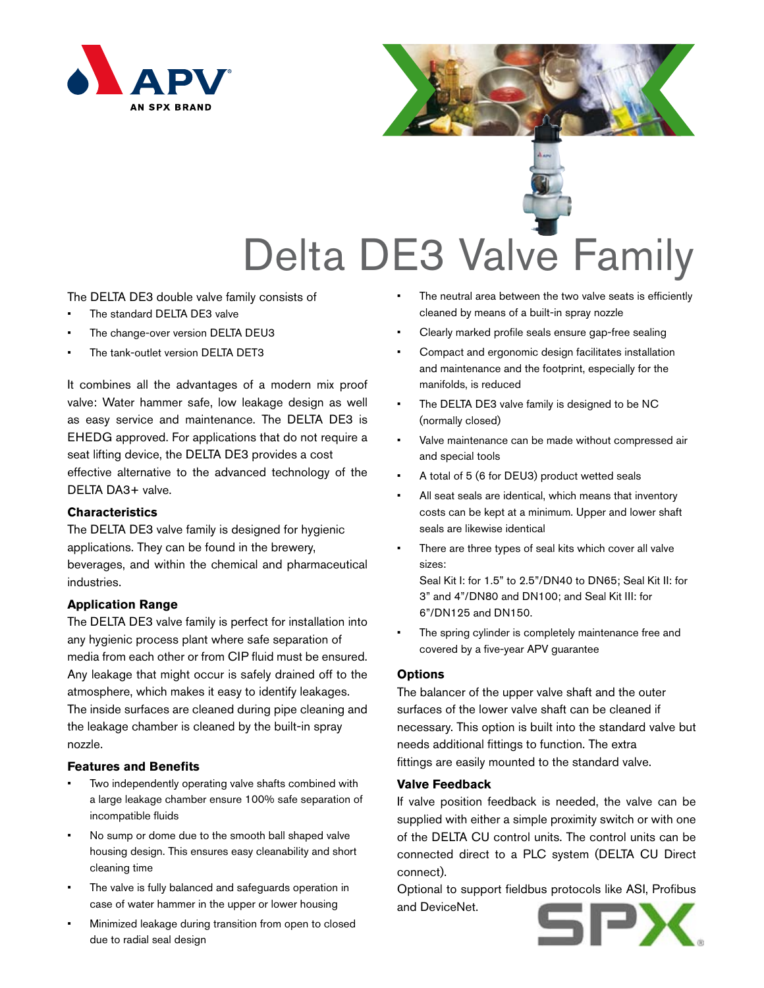

# Delta DE3 Valve Family

The DELTA DE3 double valve family consists of

- The standard DELTA DE3 valve
- The change-over version DELTA DEU3
- The tank-outlet version DELTA DET3

It combines all the advantages of a modern mix proof valve: Water hammer safe, low leakage design as well as easy service and maintenance. The DELTA DE3 is EHEDG approved. For applications that do not require a seat lifting device, the DELTA DE3 provides a cost effective alternative to the advanced technology of the DELTA DA3+ valve.

## **Characteristics**

The DELTA DE3 valve family is designed for hygienic applications. They can be found in the brewery, beverages, and within the chemical and pharmaceutical industries.

## **Application Range**

The DELTA DE3 valve family is perfect for installation into any hygienic process plant where safe separation of media from each other or from CIP fluid must be ensured. Any leakage that might occur is safely drained off to the atmosphere, which makes it easy to identify leakages. The inside surfaces are cleaned during pipe cleaning and the leakage chamber is cleaned by the built-in spray nozzle.

#### **Features and Benefits**

- Two independently operating valve shafts combined with a large leakage chamber ensure 100% safe separation of incompatible fluids
- No sump or dome due to the smooth ball shaped valve housing design. This ensures easy cleanability and short cleaning time
- The valve is fully balanced and safeguards operation in case of water hammer in the upper or lower housing
- Minimized leakage during transition from open to closed due to radial seal design
- The neutral area between the two valve seats is efficiently cleaned by means of a built-in spray nozzle
- Clearly marked profile seals ensure gap-free sealing
- Compact and ergonomic design facilitates installation and maintenance and the footprint, especially for the manifolds, is reduced
- The DELTA DE3 valve family is designed to be NC (normally closed)
- Valve maintenance can be made without compressed air and special tools
- A total of 5 (6 for DEU3) product wetted seals
- • All seat seals are identical, which means that inventory costs can be kept at a minimum. Upper and lower shaft seals are likewise identical
- There are three types of seal kits which cover all valve sizes:

Seal Kit I: for 1.5" to 2.5"/DN40 to DN65; Seal Kit II: for 3" and 4"/DN80 and DN100; and Seal Kit III: for 6"/DN125 and DN150.

The spring cylinder is completely maintenance free and covered by a five-year APV guarantee

#### **Options**

The balancer of the upper valve shaft and the outer surfaces of the lower valve shaft can be cleaned if necessary. This option is built into the standard valve but needs additional fittings to function. The extra fittings are easily mounted to the standard valve.

### **Valve Feedback**

If valve position feedback is needed, the valve can be supplied with either a simple proximity switch or with one of the DELTA CU control units. The control units can be connected direct to a PLC system (DELTA CU Direct connect).

Optional to support fieldbus protocols like ASI, Profibus and DeviceNet.